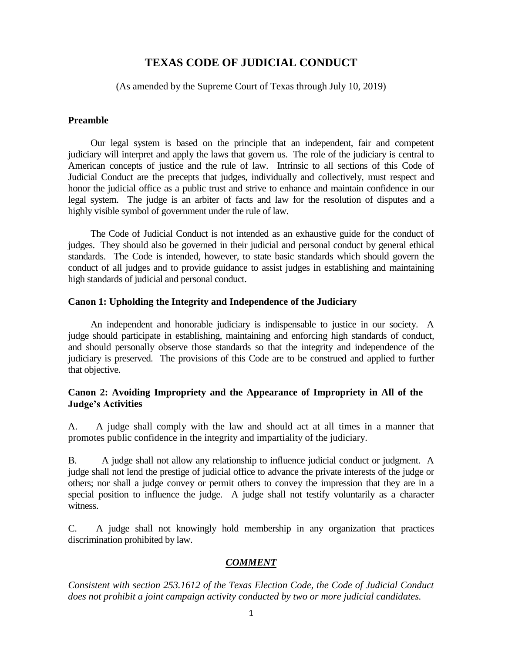# **TEXAS CODE OF JUDICIAL CONDUCT**

(As amended by the Supreme Court of Texas through July 10, 2019)

#### **Preamble**

Our legal system is based on the principle that an independent, fair and competent judiciary will interpret and apply the laws that govern us. The role of the judiciary is central to American concepts of justice and the rule of law. Intrinsic to all sections of this Code of Judicial Conduct are the precepts that judges, individually and collectively, must respect and honor the judicial office as a public trust and strive to enhance and maintain confidence in our legal system. The judge is an arbiter of facts and law for the resolution of disputes and a highly visible symbol of government under the rule of law.

The Code of Judicial Conduct is not intended as an exhaustive guide for the conduct of judges. They should also be governed in their judicial and personal conduct by general ethical standards. The Code is intended, however, to state basic standards which should govern the conduct of all judges and to provide guidance to assist judges in establishing and maintaining high standards of judicial and personal conduct.

#### **Canon 1: Upholding the Integrity and Independence of the Judiciary**

An independent and honorable judiciary is indispensable to justice in our society. A judge should participate in establishing, maintaining and enforcing high standards of conduct, and should personally observe those standards so that the integrity and independence of the judiciary is preserved. The provisions of this Code are to be construed and applied to further that objective.

#### **Canon 2: Avoiding Impropriety and the Appearance of Impropriety in All of the Judge's Activities**

A. A judge shall comply with the law and should act at all times in a manner that promotes public confidence in the integrity and impartiality of the judiciary.

B. A judge shall not allow any relationship to influence judicial conduct or judgment. A judge shall not lend the prestige of judicial office to advance the private interests of the judge or others; nor shall a judge convey or permit others to convey the impression that they are in a special position to influence the judge. A judge shall not testify voluntarily as a character witness.

C. A judge shall not knowingly hold membership in any organization that practices discrimination prohibited by law.

## *COMMENT*

*Consistent with section 253.1612 of the Texas Election Code, the Code of Judicial Conduct does not prohibit a joint campaign activity conducted by two or more judicial candidates.*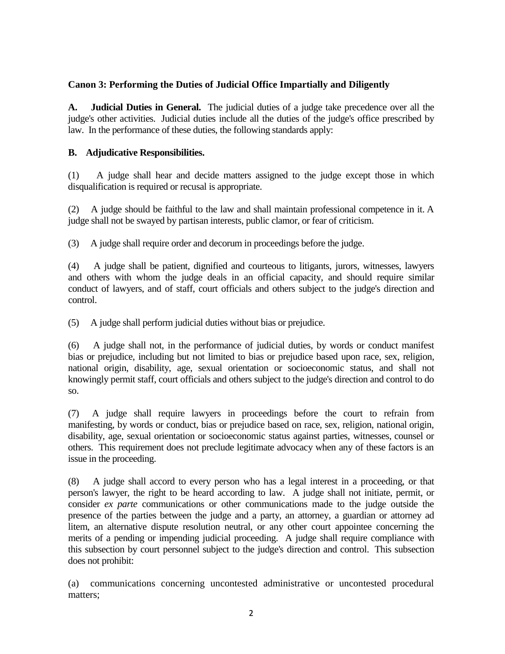## **Canon 3: Performing the Duties of Judicial Office Impartially and Diligently**

**A. Judicial Duties in General.** The judicial duties of a judge take precedence over all the judge's other activities. Judicial duties include all the duties of the judge's office prescribed by law. In the performance of these duties, the following standards apply:

## **B. Adjudicative Responsibilities.**

(1) A judge shall hear and decide matters assigned to the judge except those in which disqualification is required or recusal is appropriate.

(2) A judge should be faithful to the law and shall maintain professional competence in it. A judge shall not be swayed by partisan interests, public clamor, or fear of criticism.

(3) A judge shall require order and decorum in proceedings before the judge.

(4) A judge shall be patient, dignified and courteous to litigants, jurors, witnesses, lawyers and others with whom the judge deals in an official capacity, and should require similar conduct of lawyers, and of staff, court officials and others subject to the judge's direction and control.

(5) A judge shall perform judicial duties without bias or prejudice.

(6) A judge shall not, in the performance of judicial duties, by words or conduct manifest bias or prejudice, including but not limited to bias or prejudice based upon race, sex, religion, national origin, disability, age, sexual orientation or socioeconomic status, and shall not knowingly permit staff, court officials and others subject to the judge's direction and control to do so.

(7) A judge shall require lawyers in proceedings before the court to refrain from manifesting, by words or conduct, bias or prejudice based on race, sex, religion, national origin, disability, age, sexual orientation or socioeconomic status against parties, witnesses, counsel or others. This requirement does not preclude legitimate advocacy when any of these factors is an issue in the proceeding.

(8) A judge shall accord to every person who has a legal interest in a proceeding, or that person's lawyer, the right to be heard according to law. A judge shall not initiate, permit, or consider *ex parte* communications or other communications made to the judge outside the presence of the parties between the judge and a party, an attorney, a guardian or attorney ad litem, an alternative dispute resolution neutral, or any other court appointee concerning the merits of a pending or impending judicial proceeding. A judge shall require compliance with this subsection by court personnel subject to the judge's direction and control. This subsection does not prohibit:

(a) communications concerning uncontested administrative or uncontested procedural matters;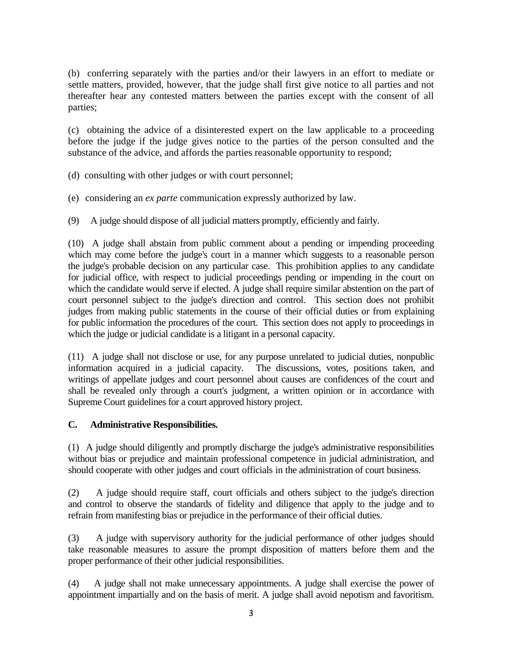(b) conferring separately with the parties and/or their lawyers in an effort to mediate or settle matters, provided, however, that the judge shall first give notice to all parties and not thereafter hear any contested matters between the parties except with the consent of all parties;

(c) obtaining the advice of a disinterested expert on the law applicable to a proceeding before the judge if the judge gives notice to the parties of the person consulted and the substance of the advice, and affords the parties reasonable opportunity to respond;

- (d) consulting with other judges or with court personnel;
- (e) considering an *ex parte* communication expressly authorized by law.
- (9) A judge should dispose of all judicial matters promptly, efficiently and fairly.

(10) A judge shall abstain from public comment about a pending or impending proceeding which may come before the judge's court in a manner which suggests to a reasonable person the judge's probable decision on any particular case. This prohibition applies to any candidate for judicial office, with respect to judicial proceedings pending or impending in the court on which the candidate would serve if elected. A judge shall require similar abstention on the part of court personnel subject to the judge's direction and control. This section does not prohibit judges from making public statements in the course of their official duties or from explaining for public information the procedures of the court. This section does not apply to proceedings in which the judge or judicial candidate is a litigant in a personal capacity.

(11) A judge shall not disclose or use, for any purpose unrelated to judicial duties, nonpublic information acquired in a judicial capacity. The discussions, votes, positions taken, and writings of appellate judges and court personnel about causes are confidences of the court and shall be revealed only through a court's judgment, a written opinion or in accordance with Supreme Court guidelines for a court approved history project.

#### **C. Administrative Responsibilities.**

(1) A judge should diligently and promptly discharge the judge's administrative responsibilities without bias or prejudice and maintain professional competence in judicial administration, and should cooperate with other judges and court officials in the administration of court business.

(2) A judge should require staff, court officials and others subject to the judge's direction and control to observe the standards of fidelity and diligence that apply to the judge and to refrain from manifesting bias or prejudice in the performance of their official duties.

(3) A judge with supervisory authority for the judicial performance of other judges should take reasonable measures to assure the prompt disposition of matters before them and the proper performance of their other judicial responsibilities.

(4) A judge shall not make unnecessary appointments. A judge shall exercise the power of appointment impartially and on the basis of merit. A judge shall avoid nepotism and favoritism.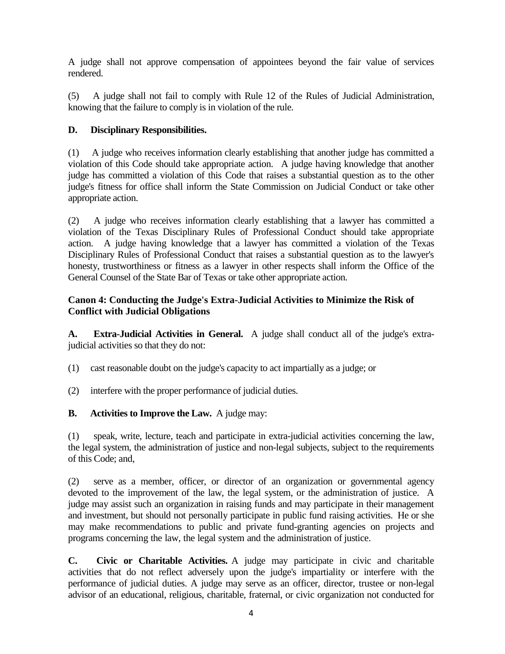A judge shall not approve compensation of appointees beyond the fair value of services rendered.

(5) A judge shall not fail to comply with Rule 12 of the Rules of Judicial Administration, knowing that the failure to comply is in violation of the rule.

# **D. Disciplinary Responsibilities.**

(1) A judge who receives information clearly establishing that another judge has committed a violation of this Code should take appropriate action. A judge having knowledge that another judge has committed a violation of this Code that raises a substantial question as to the other judge's fitness for office shall inform the State Commission on Judicial Conduct or take other appropriate action.

(2) A judge who receives information clearly establishing that a lawyer has committed a violation of the Texas Disciplinary Rules of Professional Conduct should take appropriate action. A judge having knowledge that a lawyer has committed a violation of the Texas Disciplinary Rules of Professional Conduct that raises a substantial question as to the lawyer's honesty, trustworthiness or fitness as a lawyer in other respects shall inform the Office of the General Counsel of the State Bar of Texas or take other appropriate action.

# **Canon 4: Conducting the Judge's Extra-Judicial Activities to Minimize the Risk of Conflict with Judicial Obligations**

**A. Extra-Judicial Activities in General.** A judge shall conduct all of the judge's extrajudicial activities so that they do not:

(1) cast reasonable doubt on the judge's capacity to act impartially as a judge; or

(2) interfere with the proper performance of judicial duties.

## **B. Activities to Improve the Law.** A judge may:

(1) speak, write, lecture, teach and participate in extra-judicial activities concerning the law, the legal system, the administration of justice and non-legal subjects, subject to the requirements of this Code; and,

(2) serve as a member, officer, or director of an organization or governmental agency devoted to the improvement of the law, the legal system, or the administration of justice. A judge may assist such an organization in raising funds and may participate in their management and investment, but should not personally participate in public fund raising activities. He or she may make recommendations to public and private fund-granting agencies on projects and programs concerning the law, the legal system and the administration of justice.

**C. Civic or Charitable Activities.** A judge may participate in civic and charitable activities that do not reflect adversely upon the judge's impartiality or interfere with the performance of judicial duties. A judge may serve as an officer, director, trustee or non-legal advisor of an educational, religious, charitable, fraternal, or civic organization not conducted for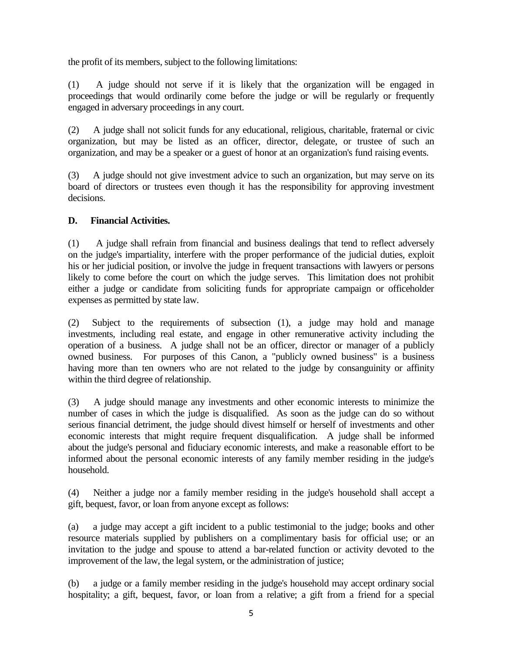the profit of its members, subject to the following limitations:

(1) A judge should not serve if it is likely that the organization will be engaged in proceedings that would ordinarily come before the judge or will be regularly or frequently engaged in adversary proceedings in any court.

(2) A judge shall not solicit funds for any educational, religious, charitable, fraternal or civic organization, but may be listed as an officer, director, delegate, or trustee of such an organization, and may be a speaker or a guest of honor at an organization's fund raising events.

(3) A judge should not give investment advice to such an organization, but may serve on its board of directors or trustees even though it has the responsibility for approving investment decisions.

## **D. Financial Activities.**

(1) A judge shall refrain from financial and business dealings that tend to reflect adversely on the judge's impartiality, interfere with the proper performance of the judicial duties, exploit his or her judicial position, or involve the judge in frequent transactions with lawyers or persons likely to come before the court on which the judge serves. This limitation does not prohibit either a judge or candidate from soliciting funds for appropriate campaign or officeholder expenses as permitted by state law.

(2) Subject to the requirements of subsection (1), a judge may hold and manage investments, including real estate, and engage in other remunerative activity including the operation of a business. A judge shall not be an officer, director or manager of a publicly owned business. For purposes of this Canon, a "publicly owned business" is a business having more than ten owners who are not related to the judge by consanguinity or affinity within the third degree of relationship.

(3) A judge should manage any investments and other economic interests to minimize the number of cases in which the judge is disqualified. As soon as the judge can do so without serious financial detriment, the judge should divest himself or herself of investments and other economic interests that might require frequent disqualification. A judge shall be informed about the judge's personal and fiduciary economic interests, and make a reasonable effort to be informed about the personal economic interests of any family member residing in the judge's household.

(4) Neither a judge nor a family member residing in the judge's household shall accept a gift, bequest, favor, or loan from anyone except as follows:

(a) a judge may accept a gift incident to a public testimonial to the judge; books and other resource materials supplied by publishers on a complimentary basis for official use; or an invitation to the judge and spouse to attend a bar-related function or activity devoted to the improvement of the law, the legal system, or the administration of justice;

(b) a judge or a family member residing in the judge's household may accept ordinary social hospitality; a gift, bequest, favor, or loan from a relative; a gift from a friend for a special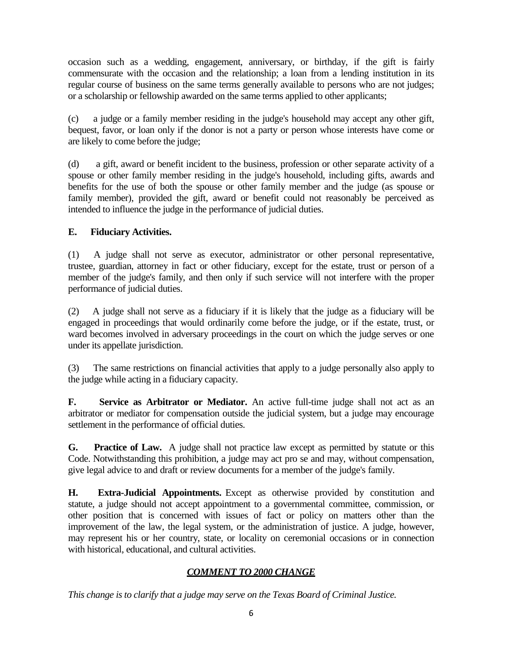occasion such as a wedding, engagement, anniversary, or birthday, if the gift is fairly commensurate with the occasion and the relationship; a loan from a lending institution in its regular course of business on the same terms generally available to persons who are not judges; or a scholarship or fellowship awarded on the same terms applied to other applicants;

(c) a judge or a family member residing in the judge's household may accept any other gift, bequest, favor, or loan only if the donor is not a party or person whose interests have come or are likely to come before the judge;

(d) a gift, award or benefit incident to the business, profession or other separate activity of a spouse or other family member residing in the judge's household, including gifts, awards and benefits for the use of both the spouse or other family member and the judge (as spouse or family member), provided the gift, award or benefit could not reasonably be perceived as intended to influence the judge in the performance of judicial duties.

# **E. Fiduciary Activities.**

(1) A judge shall not serve as executor, administrator or other personal representative, trustee, guardian, attorney in fact or other fiduciary, except for the estate, trust or person of a member of the judge's family, and then only if such service will not interfere with the proper performance of judicial duties.

(2) A judge shall not serve as a fiduciary if it is likely that the judge as a fiduciary will be engaged in proceedings that would ordinarily come before the judge, or if the estate, trust, or ward becomes involved in adversary proceedings in the court on which the judge serves or one under its appellate jurisdiction.

(3) The same restrictions on financial activities that apply to a judge personally also apply to the judge while acting in a fiduciary capacity.

**F.** Service as Arbitrator or Mediator. An active full-time judge shall not act as an arbitrator or mediator for compensation outside the judicial system, but a judge may encourage settlement in the performance of official duties.

**G. Practice of Law.** A judge shall not practice law except as permitted by statute or this Code. Notwithstanding this prohibition, a judge may act pro se and may, without compensation, give legal advice to and draft or review documents for a member of the judge's family.

**H. Extra-Judicial Appointments.** Except as otherwise provided by constitution and statute, a judge should not accept appointment to a governmental committee, commission, or other position that is concerned with issues of fact or policy on matters other than the improvement of the law, the legal system, or the administration of justice. A judge, however, may represent his or her country, state, or locality on ceremonial occasions or in connection with historical, educational, and cultural activities.

# *COMMENT TO 2000 CHANGE*

*This change is to clarify that a judge may serve on the Texas Board of Criminal Justice.*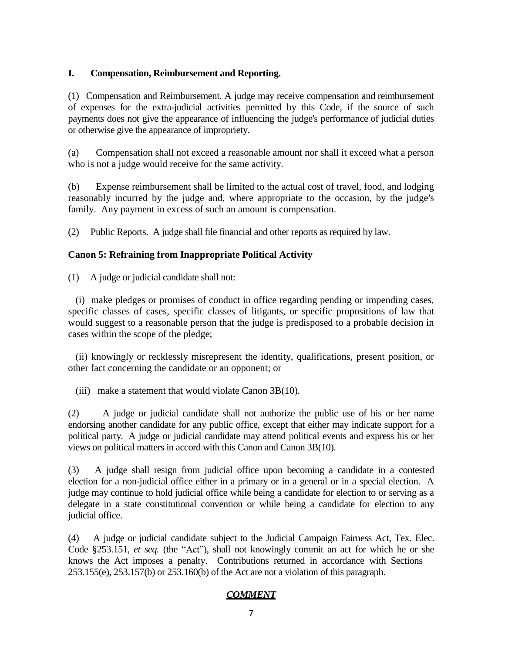#### **I. Compensation, Reimbursement and Reporting.**

(1) Compensation and Reimbursement. A judge may receive compensation and reimbursement of expenses for the extra-judicial activities permitted by this Code, if the source of such payments does not give the appearance of influencing the judge's performance of judicial duties or otherwise give the appearance of impropriety.

(a) Compensation shall not exceed a reasonable amount nor shall it exceed what a person who is not a judge would receive for the same activity.

(b) Expense reimbursement shall be limited to the actual cost of travel, food, and lodging reasonably incurred by the judge and, where appropriate to the occasion, by the judge's family. Any payment in excess of such an amount is compensation.

(2) Public Reports. A judge shall file financial and other reports as required by law.

## **Canon 5: Refraining from Inappropriate Political Activity**

(1) A judge or judicial candidate shall not:

 (i) make pledges or promises of conduct in office regarding pending or impending cases, specific classes of cases, specific classes of litigants, or specific propositions of law that would suggest to a reasonable person that the judge is predisposed to a probable decision in cases within the scope of the pledge;

 (ii) knowingly or recklessly misrepresent the identity, qualifications, present position, or other fact concerning the candidate or an opponent; or

(iii) make a statement that would violate Canon 3B(10).

(2) A judge or judicial candidate shall not authorize the public use of his or her name endorsing another candidate for any public office, except that either may indicate support for a political party. A judge or judicial candidate may attend political events and express his or her views on political matters in accord with this Canon and Canon 3B(10).

(3) A judge shall resign from judicial office upon becoming a candidate in a contested election for a non-judicial office either in a primary or in a general or in a special election. A judge may continue to hold judicial office while being a candidate for election to or serving as a delegate in a state constitutional convention or while being a candidate for election to any judicial office.

(4) A judge or judicial candidate subject to the Judicial Campaign Fairness Act, Tex. Elec. Code §253.151, *et seq.* (the "Act"), shall not knowingly commit an act for which he or she knows the Act imposes a penalty. Contributions returned in accordance with Sections 253.155(e), 253.157(b) or 253.160(b) of the Act are not a violation of this paragraph.

## *COMMENT*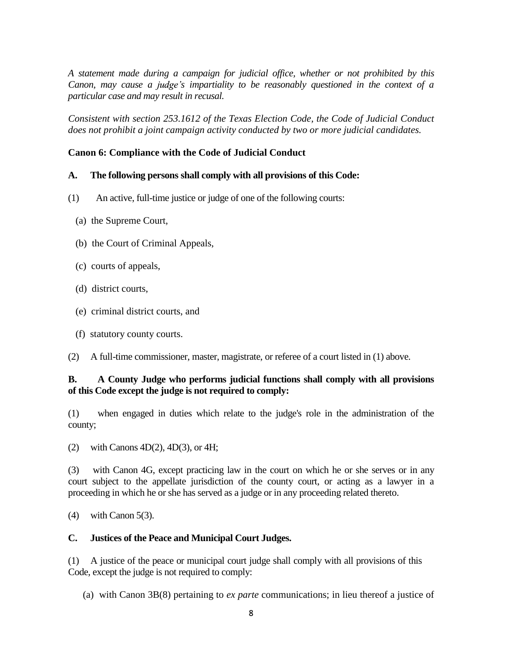*A statement made during a campaign for judicial office, whether or not prohibited by this Canon, may cause a judge's impartiality to be reasonably questioned in the context of a particular case and may result in recusal.* 

*Consistent with section 253.1612 of the Texas Election Code, the Code of Judicial Conduct does not prohibit a joint campaign activity conducted by two or more judicial candidates.* 

#### **Canon 6: Compliance with the Code of Judicial Conduct**

#### **A. The following persons shall comply with all provisions of this Code:**

- (1) An active, full-time justice or judge of one of the following courts:
	- (a) the Supreme Court,
	- (b) the Court of Criminal Appeals,
	- (c) courts of appeals,
	- (d) district courts,
	- (e) criminal district courts, and
	- (f) statutory county courts.
- (2) A full-time commissioner, master, magistrate, or referee of a court listed in (1) above.

#### **B. A County Judge who performs judicial functions shall comply with all provisions of this Code except the judge is not required to comply:**

(1) when engaged in duties which relate to the judge's role in the administration of the county;

(2) with Canons  $4D(2)$ ,  $4D(3)$ , or  $4H$ ;

(3) with Canon 4G, except practicing law in the court on which he or she serves or in any court subject to the appellate jurisdiction of the county court, or acting as a lawyer in a proceeding in which he or she has served as a judge or in any proceeding related thereto.

(4) with Canon 5(3).

## **C. Justices of the Peace and Municipal Court Judges.**

(1) A justice of the peace or municipal court judge shall comply with all provisions of this Code, except the judge is not required to comply:

(a) with Canon 3B(8) pertaining to *ex parte* communications; in lieu thereof a justice of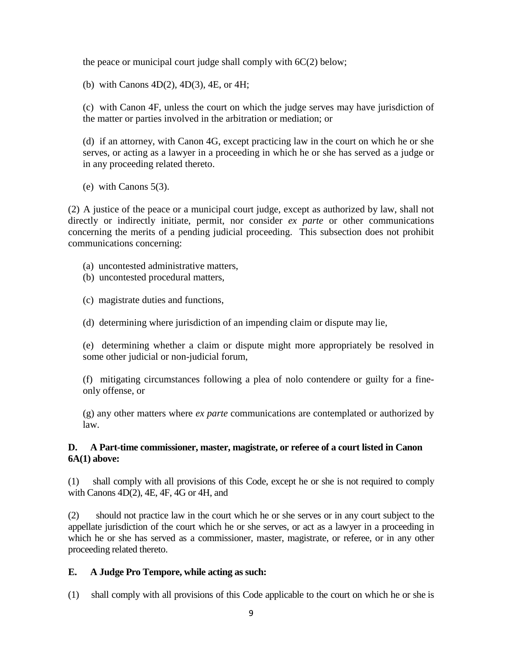the peace or municipal court judge shall comply with 6C(2) below;

(b) with Canons 4D(2), 4D(3), 4E, or 4H;

 (c) with Canon 4F, unless the court on which the judge serves may have jurisdiction of the matter or parties involved in the arbitration or mediation; or

 (d) if an attorney, with Canon 4G, except practicing law in the court on which he or she serves, or acting as a lawyer in a proceeding in which he or she has served as a judge or in any proceeding related thereto.

(e) with Canons 5(3).

(2) A justice of the peace or a municipal court judge, except as authorized by law, shall not directly or indirectly initiate, permit, nor consider *ex parte* or other communications concerning the merits of a pending judicial proceeding. This subsection does not prohibit communications concerning:

- (a) uncontested administrative matters,
- (b) uncontested procedural matters,
- (c) magistrate duties and functions,
- (d) determining where jurisdiction of an impending claim or dispute may lie,

 (e) determining whether a claim or dispute might more appropriately be resolved in some other judicial or non-judicial forum,

 (f) mitigating circumstances following a plea of nolo contendere or guilty for a fineonly offense, or

 (g) any other matters where *ex parte* communications are contemplated or authorized by law.

#### **D. A Part-time commissioner, master, magistrate, or referee of a court listed in Canon 6A(1) above:**

(1) shall comply with all provisions of this Code, except he or she is not required to comply with Canons 4D(2), 4E, 4F, 4G or 4H, and

(2) should not practice law in the court which he or she serves or in any court subject to the appellate jurisdiction of the court which he or she serves, or act as a lawyer in a proceeding in which he or she has served as a commissioner, master, magistrate, or referee, or in any other proceeding related thereto.

#### **E. A Judge Pro Tempore, while acting as such:**

(1) shall comply with all provisions of this Code applicable to the court on which he or she is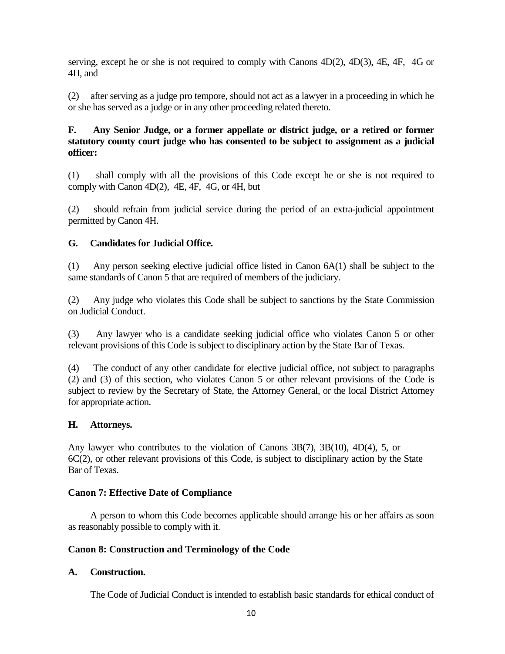serving, except he or she is not required to comply with Canons 4D(2), 4D(3), 4E, 4F, 4G or 4H, and

(2) after serving as a judge pro tempore, should not act as a lawyer in a proceeding in which he or she has served as a judge or in any other proceeding related thereto.

## **F. Any Senior Judge, or a former appellate or district judge, or a retired or former statutory county court judge who has consented to be subject to assignment as a judicial officer:**

(1) shall comply with all the provisions of this Code except he or she is not required to comply with Canon 4D(2), 4E, 4F, 4G, or 4H, but

(2) should refrain from judicial service during the period of an extra-judicial appointment permitted by Canon 4H.

# **G. Candidates for Judicial Office.**

(1) Any person seeking elective judicial office listed in Canon 6A(1) shall be subject to the same standards of Canon 5 that are required of members of the judiciary.

(2) Any judge who violates this Code shall be subject to sanctions by the State Commission on Judicial Conduct.

(3) Any lawyer who is a candidate seeking judicial office who violates Canon 5 or other relevant provisions of this Code is subject to disciplinary action by the State Bar of Texas.

(4) The conduct of any other candidate for elective judicial office, not subject to paragraphs (2) and (3) of this section, who violates Canon 5 or other relevant provisions of the Code is subject to review by the Secretary of State, the Attorney General, or the local District Attorney for appropriate action.

## **H. Attorneys.**

Any lawyer who contributes to the violation of Canons 3B(7), 3B(10), 4D(4), 5, or 6C(2), or other relevant provisions of this Code, is subject to disciplinary action by the State Bar of Texas.

#### **Canon 7: Effective Date of Compliance**

A person to whom this Code becomes applicable should arrange his or her affairs as soon as reasonably possible to comply with it.

## **Canon 8: Construction and Terminology of the Code**

## **A. Construction.**

The Code of Judicial Conduct is intended to establish basic standards for ethical conduct of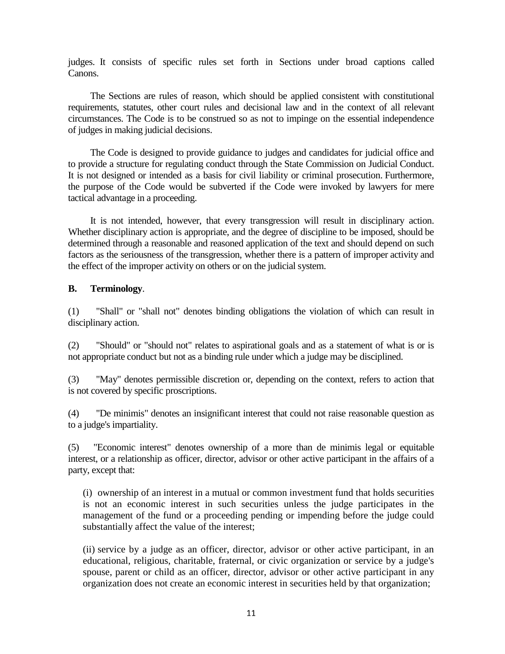judges. It consists of specific rules set forth in Sections under broad captions called Canons.

The Sections are rules of reason, which should be applied consistent with constitutional requirements, statutes, other court rules and decisional law and in the context of all relevant circumstances. The Code is to be construed so as not to impinge on the essential independence of judges in making judicial decisions.

The Code is designed to provide guidance to judges and candidates for judicial office and to provide a structure for regulating conduct through the State Commission on Judicial Conduct. It is not designed or intended as a basis for civil liability or criminal prosecution. Furthermore, the purpose of the Code would be subverted if the Code were invoked by lawyers for mere tactical advantage in a proceeding.

It is not intended, however, that every transgression will result in disciplinary action. Whether disciplinary action is appropriate, and the degree of discipline to be imposed, should be determined through a reasonable and reasoned application of the text and should depend on such factors as the seriousness of the transgression, whether there is a pattern of improper activity and the effect of the improper activity on others or on the judicial system.

#### **B. Terminology**.

(1) "Shall" or "shall not" denotes binding obligations the violation of which can result in disciplinary action.

(2) "Should" or "should not" relates to aspirational goals and as a statement of what is or is not appropriate conduct but not as a binding rule under which a judge may be disciplined.

(3) "May" denotes permissible discretion or, depending on the context, refers to action that is not covered by specific proscriptions.

(4) "De minimis" denotes an insignificant interest that could not raise reasonable question as to a judge's impartiality.

(5) "Economic interest" denotes ownership of a more than de minimis legal or equitable interest, or a relationship as officer, director, advisor or other active participant in the affairs of a party, except that:

 (i) ownership of an interest in a mutual or common investment fund that holds securities is not an economic interest in such securities unless the judge participates in the management of the fund or a proceeding pending or impending before the judge could substantially affect the value of the interest;

 (ii) service by a judge as an officer, director, advisor or other active participant, in an educational, religious, charitable, fraternal, or civic organization or service by a judge's spouse, parent or child as an officer, director, advisor or other active participant in any organization does not create an economic interest in securities held by that organization;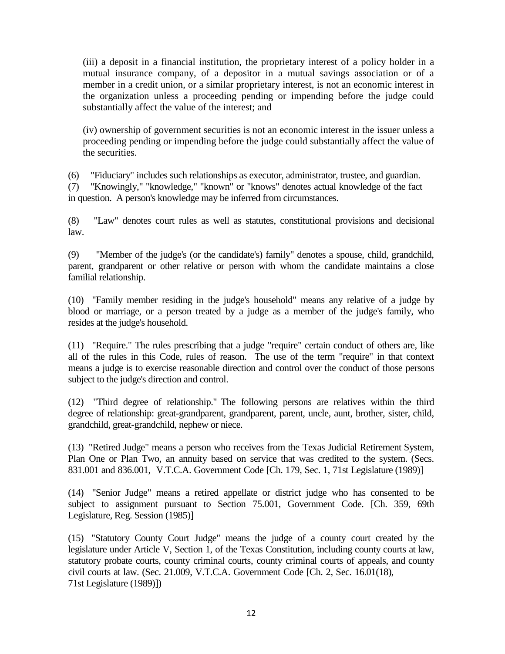(iii) a deposit in a financial institution, the proprietary interest of a policy holder in a mutual insurance company, of a depositor in a mutual savings association or of a member in a credit union, or a similar proprietary interest, is not an economic interest in the organization unless a proceeding pending or impending before the judge could substantially affect the value of the interest; and

 (iv) ownership of government securities is not an economic interest in the issuer unless a proceeding pending or impending before the judge could substantially affect the value of the securities.

(6) "Fiduciary" includes such relationships as executor, administrator, trustee, and guardian.

(7) "Knowingly," "knowledge," "known" or "knows" denotes actual knowledge of the fact in question. A person's knowledge may be inferred from circumstances.

(8) "Law" denotes court rules as well as statutes, constitutional provisions and decisional law.

(9) "Member of the judge's (or the candidate's) family" denotes a spouse, child, grandchild, parent, grandparent or other relative or person with whom the candidate maintains a close familial relationship.

(10) "Family member residing in the judge's household" means any relative of a judge by blood or marriage, or a person treated by a judge as a member of the judge's family, who resides at the judge's household.

(11) "Require." The rules prescribing that a judge "require" certain conduct of others are, like all of the rules in this Code, rules of reason. The use of the term "require" in that context means a judge is to exercise reasonable direction and control over the conduct of those persons subject to the judge's direction and control.

(12) "Third degree of relationship." The following persons are relatives within the third degree of relationship: great-grandparent, grandparent, parent, uncle, aunt, brother, sister, child, grandchild, great-grandchild, nephew or niece.

(13) "Retired Judge" means a person who receives from the Texas Judicial Retirement System, Plan One or Plan Two, an annuity based on service that was credited to the system. (Secs. 831.001 and 836.001, V.T.C.A. Government Code [Ch. 179, Sec. 1, 71st Legislature (1989)]

(14) "Senior Judge" means a retired appellate or district judge who has consented to be subject to assignment pursuant to Section 75.001, Government Code. [Ch. 359, 69th Legislature, Reg. Session (1985)]

(15) "Statutory County Court Judge" means the judge of a county court created by the legislature under Article V, Section 1, of the Texas Constitution, including county courts at law, statutory probate courts, county criminal courts, county criminal courts of appeals, and county civil courts at law. (Sec. 21.009, V.T.C.A. Government Code [Ch. 2, Sec. 16.01(18), 71st Legislature (1989)])